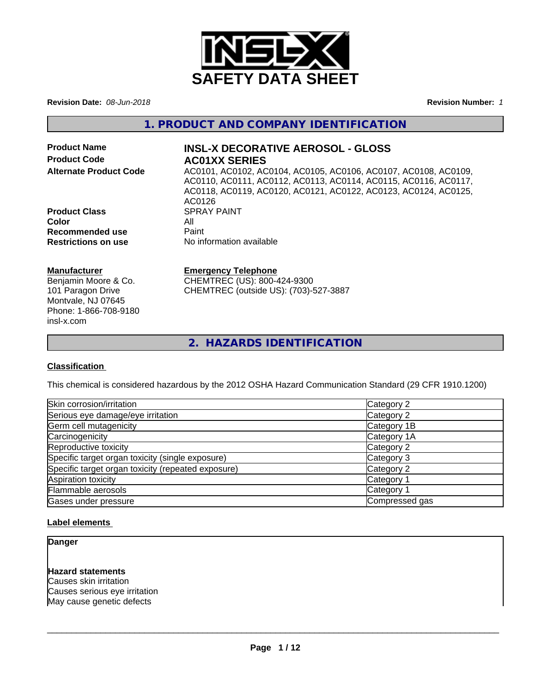

**Revision Date:** *08-Jun-2018* **Revision Number:** *1*

### **1. PRODUCT AND COMPANY IDENTIFICATION**

**Product Code 6 AC01XX SERIES** 

# **Product Name INSL-X DECORATIVE AEROSOL - GLOSS**

**Alternate Product Code** AC0101, AC0102, AC0104, AC0105, AC0106, AC0107, AC0108, AC0109, AC0110, AC0111, AC0112, AC0113, AC0114, AC0115, AC0116, AC0117, AC0118, AC0119, AC0120, AC0121, AC0122, AC0123, AC0124, AC0125, AC0126<br>SPRAY PAINT **Color** All<br> **Recommended use** Paint **No information available** 

**Manufacturer**

**Product Class** 

**Recommended use<br>Restrictions on use** 

Benjamin Moore & Co. 101 Paragon Drive Montvale, NJ 07645 Phone: 1-866-708-9180 insl-x.com

#### **Emergency Telephone**

CHEMTREC (US): 800-424-9300 CHEMTREC (outside US): (703)-527-3887

**2. HAZARDS IDENTIFICATION**

#### **Classification**

This chemical is considered hazardous by the 2012 OSHA Hazard Communication Standard (29 CFR 1910.1200)

| Skin corrosion/irritation                          | Category 2     |
|----------------------------------------------------|----------------|
| Serious eye damage/eye irritation                  | Category 2     |
| Germ cell mutagenicity                             | Category 1B    |
| Carcinogenicity                                    | Category 1A    |
| Reproductive toxicity                              | Category 2     |
| Specific target organ toxicity (single exposure)   | Category 3     |
| Specific target organ toxicity (repeated exposure) | Category 2     |
| Aspiration toxicity                                | Category 1     |
| Flammable aerosols                                 | Category 1     |
| Gases under pressure                               | Compressed gas |
|                                                    |                |

#### **Label elements**

#### **Danger**

#### **Hazard statements**

Causes skin irritation Causes serious eye irritation May cause genetic defects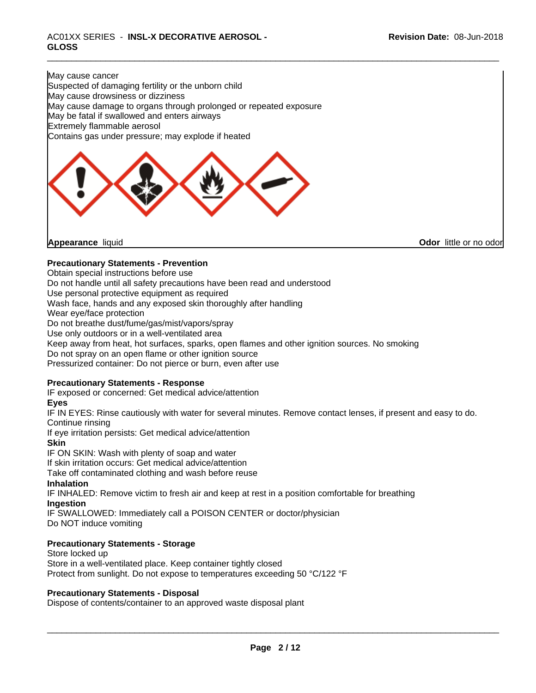May cause cancer Suspected of damaging fertility or the unborn child May cause drowsiness or dizziness May cause damage to organs through prolonged or repeated exposure May be fatal if swallowed and enters airways Extremely flammable aerosol Contains gas under pressure; may explode if heated

**Appearance** liquid **Contract Contract Contract Contract Contract Contract Contract Contract Contract Contract Contract Contract Contract Contract Contract Contract Contract Contract Contract Contract Contract Contract Con** 

#### **Precautionary Statements - Prevention**

Obtain special instructions before use

Do not handle until all safety precautions have been read and understood

Use personal protective equipment as required

Wash face, hands and any exposed skin thoroughly after handling

Wear eye/face protection

Do not breathe dust/fume/gas/mist/vapors/spray

Use only outdoors or in a well-ventilated area

Keep away from heat, hot surfaces, sparks, open flames and other ignition sources. No smoking

Do not spray on an open flame or other ignition source

Pressurized container: Do not pierce or burn, even after use

#### **Precautionary Statements - Response**

IF exposed or concerned: Get medical advice/attention

#### **Eyes**

IF IN EYES: Rinse cautiously with water for several minutes. Remove contact lenses, if present and easy to do. Continue rinsing

If eye irritation persists: Get medical advice/attention

#### **Skin**

IF ON SKIN: Wash with plenty of soap and water

If skin irritation occurs: Get medical advice/attention

Take off contaminated clothing and wash before reuse

#### **Inhalation**

IF INHALED: Remove victim to fresh air and keep at rest in a position comfortable for breathing **Ingestion**

IF SWALLOWED: Immediately call a POISON CENTER or doctor/physician Do NOT induce vomiting

### **Precautionary Statements - Storage**

Store locked up Store in a well-ventilated place. Keep container tightly closed Protect from sunlight. Do not expose to temperatures exceeding 50 °C/122 °F

#### **Precautionary Statements - Disposal**

Dispose of contents/container to an approved waste disposal plant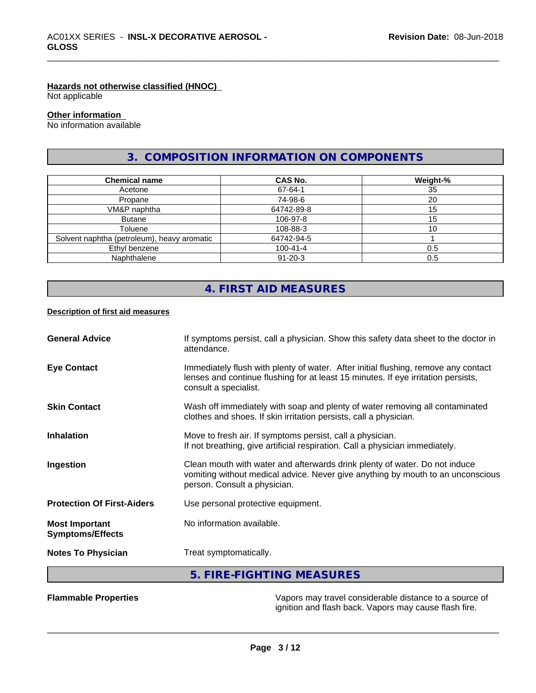#### **Hazards not otherwise classified (HNOC)**

Not applicable

# **Other information**

No information available

# **3. COMPOSITION INFORMATION ON COMPONENTS**

| <b>Chemical name</b>                        | <b>CAS No.</b> | Weight-% |
|---------------------------------------------|----------------|----------|
| Acetone                                     | 67-64-1        | 35       |
| Propane                                     | 74-98-6        | 20       |
| VM&P naphtha                                | 64742-89-8     | 15       |
| <b>Butane</b>                               | 106-97-8       | 15       |
| Toluene                                     | 108-88-3       |          |
| Solvent naphtha (petroleum), heavy aromatic | 64742-94-5     |          |
| Ethyl benzene                               | $100 - 41 - 4$ | 0.5      |
| Naphthalene                                 | $91 - 20 - 3$  | 0.5      |

# **4. FIRST AID MEASURES**

#### **Description of first aid measures**

| <b>Eye Contact</b>                               | Immediately flush with plenty of water. After initial flushing, remove any contact<br>lenses and continue flushing for at least 15 minutes. If eye irritation persists,                       |
|--------------------------------------------------|-----------------------------------------------------------------------------------------------------------------------------------------------------------------------------------------------|
|                                                  | consult a specialist.                                                                                                                                                                         |
| <b>Skin Contact</b>                              | Wash off immediately with soap and plenty of water removing all contaminated<br>clothes and shoes. If skin irritation persists, call a physician.                                             |
| <b>Inhalation</b>                                | Move to fresh air. If symptoms persist, call a physician.<br>If not breathing, give artificial respiration. Call a physician immediately.                                                     |
| Ingestion                                        | Clean mouth with water and afterwards drink plenty of water. Do not induce<br>vomiting without medical advice. Never give anything by mouth to an unconscious<br>person. Consult a physician. |
| <b>Protection Of First-Aiders</b>                | Use personal protective equipment.                                                                                                                                                            |
| <b>Most Important</b><br><b>Symptoms/Effects</b> | No information available.                                                                                                                                                                     |
| <b>Notes To Physician</b>                        | Treat symptomatically.                                                                                                                                                                        |
|                                                  | 5. FIRE-FIGHTING MEASURES                                                                                                                                                                     |

**Flammable Properties** Vapors may travel considerable distance to a source of ignition and flash back. Vapors may cause flash fire.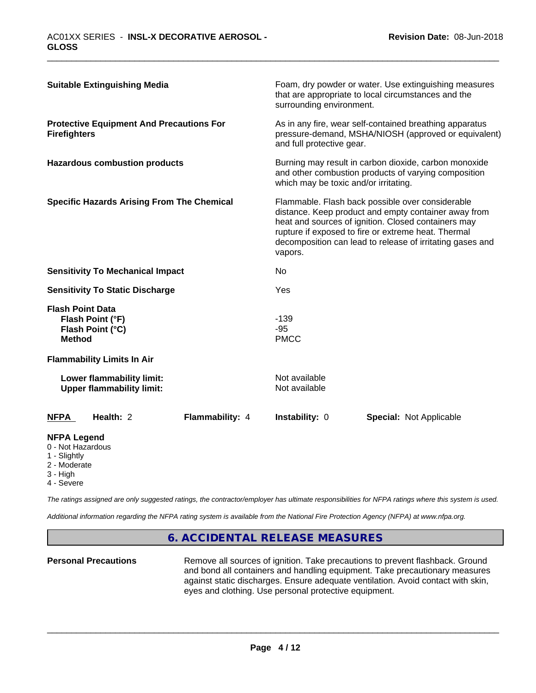| <b>Suitable Extinguishing Media</b>                                              | Foam, dry powder or water. Use extinguishing measures<br>that are appropriate to local circumstances and the<br>surrounding environment.                                                                                                                                                       |
|----------------------------------------------------------------------------------|------------------------------------------------------------------------------------------------------------------------------------------------------------------------------------------------------------------------------------------------------------------------------------------------|
| <b>Protective Equipment And Precautions For</b><br><b>Firefighters</b>           | As in any fire, wear self-contained breathing apparatus<br>pressure-demand, MSHA/NIOSH (approved or equivalent)<br>and full protective gear.                                                                                                                                                   |
| <b>Hazardous combustion products</b>                                             | Burning may result in carbon dioxide, carbon monoxide<br>and other combustion products of varying composition<br>which may be toxic and/or irritating.                                                                                                                                         |
| <b>Specific Hazards Arising From The Chemical</b>                                | Flammable. Flash back possible over considerable<br>distance. Keep product and empty container away from<br>heat and sources of ignition. Closed containers may<br>rupture if exposed to fire or extreme heat. Thermal<br>decomposition can lead to release of irritating gases and<br>vapors. |
| <b>Sensitivity To Mechanical Impact</b>                                          | No                                                                                                                                                                                                                                                                                             |
| <b>Sensitivity To Static Discharge</b>                                           | Yes                                                                                                                                                                                                                                                                                            |
| <b>Flash Point Data</b><br>Flash Point (°F)<br>Flash Point (°C)<br><b>Method</b> | $-139$<br>$-95$<br><b>PMCC</b>                                                                                                                                                                                                                                                                 |
| <b>Flammability Limits In Air</b>                                                |                                                                                                                                                                                                                                                                                                |
| Lower flammability limit:<br><b>Upper flammability limit:</b>                    | Not available<br>Not available                                                                                                                                                                                                                                                                 |
| Health: 2<br>Flammability: 4<br><b>NFPA</b>                                      | Instability: 0<br><b>Special: Not Applicable</b>                                                                                                                                                                                                                                               |
| <b>NFPA Legend</b><br>0 - Not Hazardous<br>1 - Slightly<br>$0$ Moderate          |                                                                                                                                                                                                                                                                                                |

- 2 Moderate
- 3 High
- 4 Severe

*The ratings assigned are only suggested ratings, the contractor/employer has ultimate responsibilities for NFPA ratings where this system is used.*

*Additional information regarding the NFPA rating system is available from the National Fire Protection Agency (NFPA) at www.nfpa.org.*

# **6. ACCIDENTAL RELEASE MEASURES**

**Personal Precautions** Remove all sources of ignition. Take precautions to prevent flashback. Ground and bond all containers and handling equipment. Take precautionary measures against static discharges. Ensure adequate ventilation. Avoid contact with skin, eyes and clothing. Use personal protective equipment.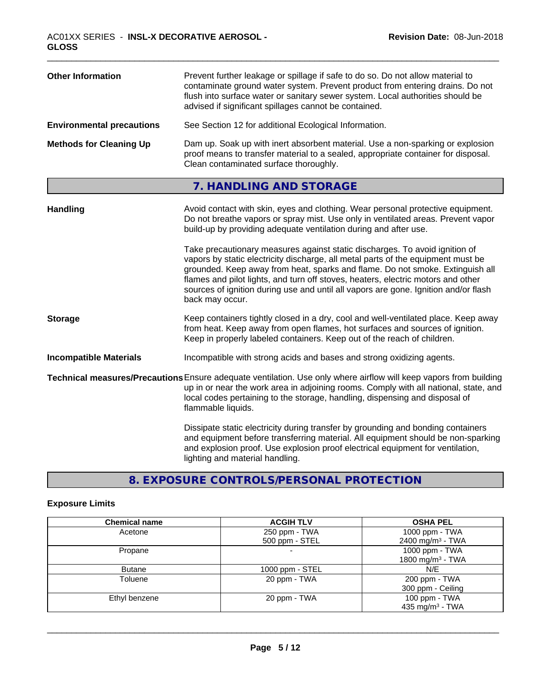| <b>Other Information</b>         | Prevent further leakage or spillage if safe to do so. Do not allow material to<br>contaminate ground water system. Prevent product from entering drains. Do not<br>flush into surface water or sanitary sewer system. Local authorities should be<br>advised if significant spillages cannot be contained. |
|----------------------------------|------------------------------------------------------------------------------------------------------------------------------------------------------------------------------------------------------------------------------------------------------------------------------------------------------------|
| <b>Environmental precautions</b> | See Section 12 for additional Ecological Information.                                                                                                                                                                                                                                                      |
| <b>Methods for Cleaning Up</b>   | Dam up. Soak up with inert absorbent material. Use a non-sparking or explosion<br>proof means to transfer material to a sealed, appropriate container for disposal.<br>Clean contaminated surface thoroughly.                                                                                              |

# **7. HANDLING AND STORAGE**

| Avoid contact with skin, eyes and clothing. Wear personal protective equipment.<br>Do not breathe vapors or spray mist. Use only in ventilated areas. Prevent vapor<br>build-up by providing adequate ventilation during and after use.                                                                                                                                                                                                        |
|------------------------------------------------------------------------------------------------------------------------------------------------------------------------------------------------------------------------------------------------------------------------------------------------------------------------------------------------------------------------------------------------------------------------------------------------|
| Take precautionary measures against static discharges. To avoid ignition of<br>vapors by static electricity discharge, all metal parts of the equipment must be<br>grounded. Keep away from heat, sparks and flame. Do not smoke. Extinguish all<br>flames and pilot lights, and turn off stoves, heaters, electric motors and other<br>sources of ignition during use and until all vapors are gone. Ignition and/or flash<br>back may occur. |
| Keep containers tightly closed in a dry, cool and well-ventilated place. Keep away<br>from heat. Keep away from open flames, hot surfaces and sources of ignition.<br>Keep in properly labeled containers. Keep out of the reach of children.                                                                                                                                                                                                  |
| Incompatible with strong acids and bases and strong oxidizing agents.                                                                                                                                                                                                                                                                                                                                                                          |
| Technical measures/Precautions Ensure adequate ventilation. Use only where airflow will keep vapors from building<br>up in or near the work area in adjoining rooms. Comply with all national, state, and<br>local codes pertaining to the storage, handling, dispensing and disposal of<br>flammable liquids.                                                                                                                                 |
| Dissipate static electricity during transfer by grounding and bonding containers<br>and equipment before transferring material. All equipment should be non-sparking<br>and explosion proof. Use explosion proof electrical equipment for ventilation,<br>lighting and material handling.                                                                                                                                                      |
|                                                                                                                                                                                                                                                                                                                                                                                                                                                |

# **8. EXPOSURE CONTROLS/PERSONAL PROTECTION**

# **Exposure Limits**

| <b>Chemical name</b> | <b>ACGIH TLV</b>  | <b>OSHA PEL</b>              |
|----------------------|-------------------|------------------------------|
| Acetone              | 250 ppm - TWA     | 1000 ppm - TWA               |
|                      | 500 ppm - STEL    | 2400 mg/m <sup>3</sup> - TWA |
| Propane              |                   | 1000 ppm - TWA               |
|                      |                   | 1800 mg/m <sup>3</sup> - TWA |
| <b>Butane</b>        | 1000 ppm $-$ STEL | N/E                          |
| Toluene              | 20 ppm - TWA      | 200 ppm - TWA                |
|                      |                   | 300 ppm - Ceiling            |
| Ethyl benzene        | 20 ppm - TWA      | 100 ppm - TWA                |
|                      |                   | 435 mg/m <sup>3</sup> - TWA  |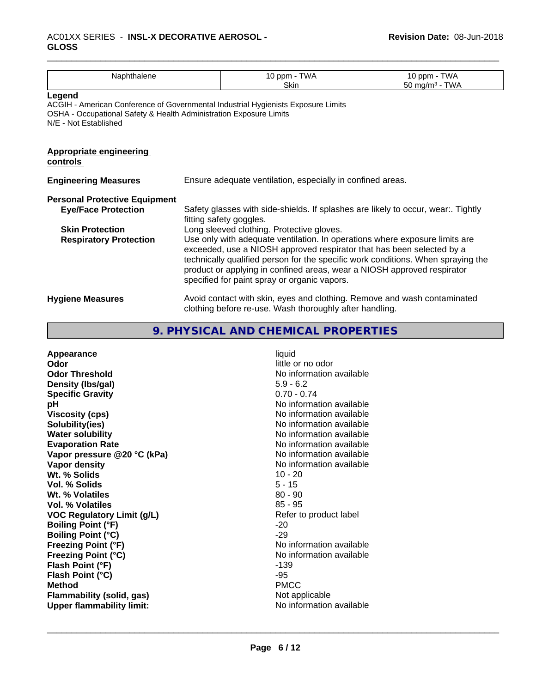| Naphthalene                                                                                 |                                                            | 10 ppm - TWA                                                                                                                                                                                                                                                                                                                                                        | 10 ppm - TWA      |
|---------------------------------------------------------------------------------------------|------------------------------------------------------------|---------------------------------------------------------------------------------------------------------------------------------------------------------------------------------------------------------------------------------------------------------------------------------------------------------------------------------------------------------------------|-------------------|
|                                                                                             |                                                            | Skin                                                                                                                                                                                                                                                                                                                                                                | 50 mg/m $3$ - TWA |
| Legend                                                                                      |                                                            |                                                                                                                                                                                                                                                                                                                                                                     |                   |
| OSHA - Occupational Safety & Health Administration Exposure Limits<br>N/E - Not Established |                                                            | ACGIH - American Conference of Governmental Industrial Hygienists Exposure Limits                                                                                                                                                                                                                                                                                   |                   |
| <b>Appropriate engineering</b><br>controls                                                  |                                                            |                                                                                                                                                                                                                                                                                                                                                                     |                   |
| <b>Engineering Measures</b>                                                                 | Ensure adequate ventilation, especially in confined areas. |                                                                                                                                                                                                                                                                                                                                                                     |                   |
| <b>Personal Protective Equipment</b>                                                        |                                                            |                                                                                                                                                                                                                                                                                                                                                                     |                   |
| <b>Eye/Face Protection</b>                                                                  |                                                            | Safety glasses with side-shields. If splashes are likely to occur, wear Tightly<br>fitting safety goggles.                                                                                                                                                                                                                                                          |                   |
| <b>Skin Protection</b>                                                                      |                                                            | Long sleeved clothing. Protective gloves.                                                                                                                                                                                                                                                                                                                           |                   |
| <b>Respiratory Protection</b>                                                               |                                                            | Use only with adequate ventilation. In operations where exposure limits are<br>exceeded, use a NIOSH approved respirator that has been selected by a<br>technically qualified person for the specific work conditions. When spraying the<br>product or applying in confined areas, wear a NIOSH approved respirator<br>specified for paint spray or organic vapors. |                   |
| <b>Hygiene Measures</b>                                                                     |                                                            | Avoid contact with skin, eyes and clothing. Remove and wash contaminated<br>clothing before re-use. Wash thoroughly after handling.                                                                                                                                                                                                                                 |                   |

**9. PHYSICAL AND CHEMICAL PROPERTIES**

| $5.9 - 6.2$<br>Density (Ibs/gal)<br>$0.70 - 0.74$<br><b>Specific Gravity</b><br>No information available<br>рH<br>No information available<br><b>Viscosity (cps)</b><br>No information available<br>Solubility(ies)<br><b>Water solubility</b><br>No information available<br>No information available<br><b>Evaporation Rate</b><br>No information available<br>Vapor pressure @20 °C (kPa)<br>Vapor density<br>No information available<br>Wt. % Solids<br>$10 - 20$<br>$5 - 15$<br>Vol. % Solids<br>$80 - 90$<br>Wt. % Volatiles<br>$85 - 95$<br>Vol. % Volatiles<br><b>VOC Regulatory Limit (g/L)</b><br>Refer to product label<br>$-20$<br><b>Boiling Point (°F)</b><br>$-29$<br><b>Boiling Point (°C)</b><br>No information available<br><b>Freezing Point (°F)</b><br><b>Freezing Point (°C)</b><br>No information available<br>Flash Point (°F)<br>$-139$<br>-95<br>Flash Point (°C)<br><b>PMCC</b><br><b>Method</b><br><b>Flammability (solid, gas)</b><br>Not applicable<br>No information available<br><b>Upper flammability limit:</b> |
|----------------------------------------------------------------------------------------------------------------------------------------------------------------------------------------------------------------------------------------------------------------------------------------------------------------------------------------------------------------------------------------------------------------------------------------------------------------------------------------------------------------------------------------------------------------------------------------------------------------------------------------------------------------------------------------------------------------------------------------------------------------------------------------------------------------------------------------------------------------------------------------------------------------------------------------------------------------------------------------------------------------------------------------------------|
|----------------------------------------------------------------------------------------------------------------------------------------------------------------------------------------------------------------------------------------------------------------------------------------------------------------------------------------------------------------------------------------------------------------------------------------------------------------------------------------------------------------------------------------------------------------------------------------------------------------------------------------------------------------------------------------------------------------------------------------------------------------------------------------------------------------------------------------------------------------------------------------------------------------------------------------------------------------------------------------------------------------------------------------------------|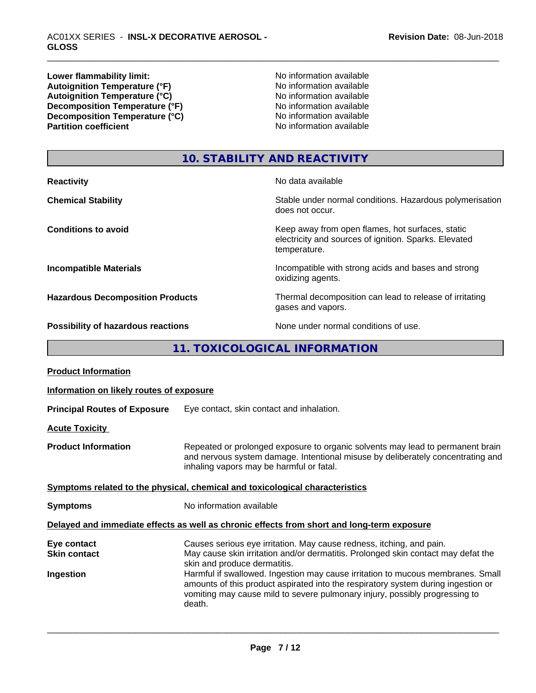**Lower flammability limit:**<br> **Autoignition Temperature (°F)** No information available<br>
No information available Autoignition **Temperature** (°F) <br>
Autoignition **Temperature** (°C) <br>
No information available Autoignition **Temperature** (°C) Mo information available<br>Decomposition **Temperature** (°F) No information available **Decomposition Temperature (°F)**<br> **Decomposition Temperature (°C)**<br>
No information available<br>
No information available **Decomposition Temperature (°C)**<br>Partition coefficient

**No information available** 

# **10. STABILITY AND REACTIVITY**

| <b>Reactivity</b>                         | No data available                                                                                                         |
|-------------------------------------------|---------------------------------------------------------------------------------------------------------------------------|
| <b>Chemical Stability</b>                 | Stable under normal conditions. Hazardous polymerisation<br>does not occur.                                               |
| <b>Conditions to avoid</b>                | Keep away from open flames, hot surfaces, static<br>electricity and sources of ignition. Sparks. Elevated<br>temperature. |
| <b>Incompatible Materials</b>             | Incompatible with strong acids and bases and strong<br>oxidizing agents.                                                  |
| <b>Hazardous Decomposition Products</b>   | Thermal decomposition can lead to release of irritating<br>gases and vapors.                                              |
| <b>Possibility of hazardous reactions</b> | None under normal conditions of use.                                                                                      |

**11. TOXICOLOGICAL INFORMATION**

| <b>Product Information</b>                      |                                                                                                                                                                                                                                                                                                                                                                                                                                                            |
|-------------------------------------------------|------------------------------------------------------------------------------------------------------------------------------------------------------------------------------------------------------------------------------------------------------------------------------------------------------------------------------------------------------------------------------------------------------------------------------------------------------------|
| Information on likely routes of exposure        |                                                                                                                                                                                                                                                                                                                                                                                                                                                            |
| <b>Principal Routes of Exposure</b>             | Eye contact, skin contact and inhalation.                                                                                                                                                                                                                                                                                                                                                                                                                  |
| <b>Acute Toxicity</b>                           |                                                                                                                                                                                                                                                                                                                                                                                                                                                            |
| <b>Product Information</b>                      | Repeated or prolonged exposure to organic solvents may lead to permanent brain<br>and nervous system damage. Intentional misuse by deliberately concentrating and<br>inhaling vapors may be harmful or fatal.                                                                                                                                                                                                                                              |
|                                                 | Symptoms related to the physical, chemical and toxicological characteristics                                                                                                                                                                                                                                                                                                                                                                               |
| <b>Symptoms</b>                                 | No information available                                                                                                                                                                                                                                                                                                                                                                                                                                   |
|                                                 | Delayed and immediate effects as well as chronic effects from short and long-term exposure                                                                                                                                                                                                                                                                                                                                                                 |
| Eye contact<br><b>Skin contact</b><br>Ingestion | Causes serious eye irritation. May cause redness, itching, and pain.<br>May cause skin irritation and/or dermatitis. Prolonged skin contact may defat the<br>skin and produce dermatitis.<br>Harmful if swallowed. Ingestion may cause irritation to mucous membranes. Small<br>amounts of this product aspirated into the respiratory system during ingestion or<br>vomiting may cause mild to severe pulmonary injury, possibly progressing to<br>death. |
|                                                 |                                                                                                                                                                                                                                                                                                                                                                                                                                                            |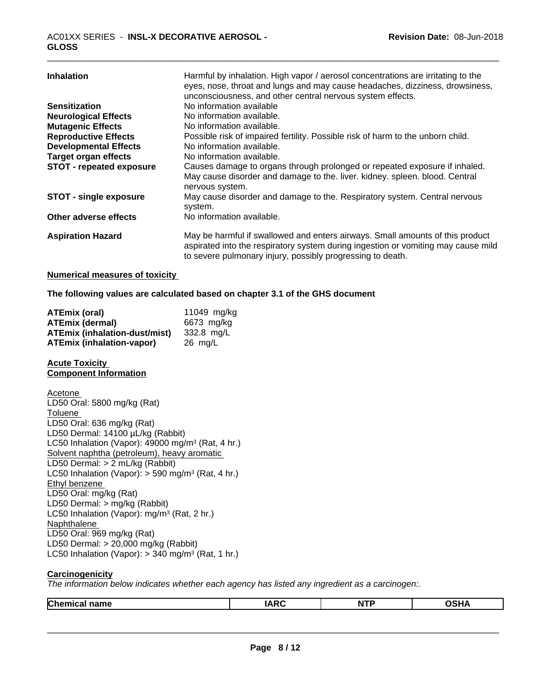| <b>Inhalation</b>             | Harmful by inhalation. High vapor / aerosol concentrations are irritating to the<br>eyes, nose, throat and lungs and may cause headaches, dizziness, drowsiness,<br>unconsciousness, and other central nervous system effects.   |
|-------------------------------|----------------------------------------------------------------------------------------------------------------------------------------------------------------------------------------------------------------------------------|
| <b>Sensitization</b>          | No information available                                                                                                                                                                                                         |
| <b>Neurological Effects</b>   | No information available.                                                                                                                                                                                                        |
| <b>Mutagenic Effects</b>      | No information available.                                                                                                                                                                                                        |
| <b>Reproductive Effects</b>   | Possible risk of impaired fertility. Possible risk of harm to the unborn child.                                                                                                                                                  |
| <b>Developmental Effects</b>  | No information available.                                                                                                                                                                                                        |
| <b>Target organ effects</b>   | No information available.                                                                                                                                                                                                        |
| STOT - repeated exposure      | Causes damage to organs through prolonged or repeated exposure if inhaled.<br>May cause disorder and damage to the. liver. kidney. spleen. blood. Central<br>nervous system.                                                     |
| <b>STOT - single exposure</b> | May cause disorder and damage to the. Respiratory system. Central nervous<br>system.                                                                                                                                             |
| Other adverse effects         | No information available.                                                                                                                                                                                                        |
| <b>Aspiration Hazard</b>      | May be harmful if swallowed and enters airways. Small amounts of this product<br>aspirated into the respiratory system during ingestion or vomiting may cause mild<br>to severe pulmonary injury, possibly progressing to death. |

#### **Numerical measures of toxicity**

**The following values are calculated based on chapter 3.1 of the GHS document**

| ATEmix (oral)                        | 11049 mg/kg |
|--------------------------------------|-------------|
| <b>ATEmix (dermal)</b>               | 6673 mg/kg  |
| <b>ATEmix (inhalation-dust/mist)</b> | 332.8 ma/L  |
| <b>ATEmix (inhalation-vapor)</b>     | 26 ma/L     |

#### **Acute Toxicity Component Information**

Acetone LD50 Oral: 5800 mg/kg (Rat) Toluene LD50 Oral: 636 mg/kg (Rat) LD50 Dermal: 14100 µL/kg (Rabbit) LC50 Inhalation (Vapor): 49000 mg/m<sup>3</sup> (Rat, 4 hr.) Solvent naphtha (petroleum), heavy aromatic LD50 Dermal: > 2 mL/kg (Rabbit) LC50 Inhalation (Vapor): > 590 mg/m<sup>3</sup> (Rat, 4 hr.) Ethyl benzene LD50 Oral: mg/kg (Rat) LD50 Dermal: > mg/kg (Rabbit) LC50 Inhalation (Vapor): mg/m<sup>3</sup> (Rat, 2 hr.) Naphthalene LD50 Oral: 969 mg/kg (Rat) LD50 Dermal: > 20,000 mg/kg (Rabbit) LC50 Inhalation (Vapor): > 340 mg/m<sup>3</sup> (Rat, 1 hr.)

#### **Carcinogenicity**

*The information below indicateswhether each agency has listed any ingredient as a carcinogen:.*

|--|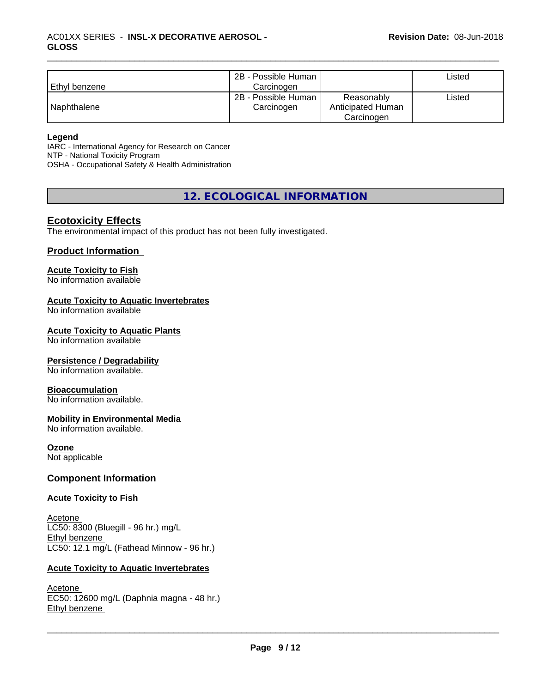| Ethyl benzene | 2B - Possible Human<br>Carcinogen |                                 | ∟isted |
|---------------|-----------------------------------|---------------------------------|--------|
| l Naphthalene | 2B - Possible Human<br>Carcinogen | Reasonably<br>Anticipated Human | Listed |
|               |                                   | Carcinogen                      |        |

#### **Legend**

IARC - International Agency for Research on Cancer NTP - National Toxicity Program OSHA - Occupational Safety & Health Administration

**12. ECOLOGICAL INFORMATION**

#### **Ecotoxicity Effects**

The environmental impact of this product has not been fully investigated.

#### **Product Information**

#### **Acute Toxicity to Fish**

No information available

### **Acute Toxicity to Aquatic Invertebrates**

No information available

#### **Acute Toxicity to Aquatic Plants**

No information available

#### **Persistence / Degradability**

No information available.

#### **Bioaccumulation**

No information available.

#### **Mobility in Environmental Media**

No information available.

#### **Ozone**

Not applicable

#### **Component Information**

#### **Acute Toxicity to Fish**

Acetone LC50: 8300 (Bluegill - 96 hr.) mg/L Ethyl benzene LC50: 12.1 mg/L (Fathead Minnow - 96 hr.)

#### **Acute Toxicity to Aquatic Invertebrates**

Acetone EC50: 12600 mg/L (Daphnia magna - 48 hr.) Ethyl benzene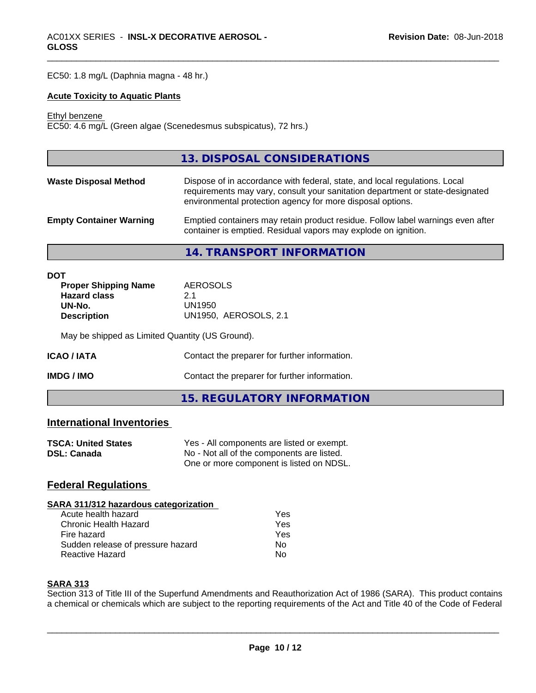EC50: 1.8 mg/L (Daphnia magna - 48 hr.)

#### **Acute Toxicity to Aquatic Plants**

Ethyl benzene

EC50: 4.6 mg/L (Green algae (Scenedesmus subspicatus), 72 hrs.)

#### **14. TRANSPORT INFORMATION**

| <b>Proper Shipping Name</b> | AEROSOLS              |
|-----------------------------|-----------------------|
| <b>Hazard class</b>         | 2.1                   |
| UN-No.                      | UN1950                |
| <b>Description</b>          | UN1950, AEROSOLS, 2.1 |

May be shipped as Limited Quantity (US Ground).

| <b>ICAO/IATA</b> | Contact the preparer for further information. |
|------------------|-----------------------------------------------|
| IMDG / IMO       | Contact the preparer for further information. |
|                  | 15. REGULATORY INFORMATION                    |

#### **International Inventories**

| <b>TSCA: United States</b> | Yes - All components are listed or exempt. |
|----------------------------|--------------------------------------------|
| <b>DSL: Canada</b>         | No - Not all of the components are listed. |
|                            | One or more component is listed on NDSL.   |

## **Federal Regulations**

#### **SARA 311/312 hazardous categorization**

| Acute health hazard               | Yes |  |
|-----------------------------------|-----|--|
| Chronic Health Hazard             | Yes |  |
| Fire hazard                       | Yes |  |
| Sudden release of pressure hazard | Nο  |  |
| Reactive Hazard                   | N٥  |  |

#### **SARA 313**

Section 313 of Title III of the Superfund Amendments and Reauthorization Act of 1986 (SARA). This product contains a chemical or chemicals which are subject to the reporting requirements of the Act and Title 40 of the Code of Federal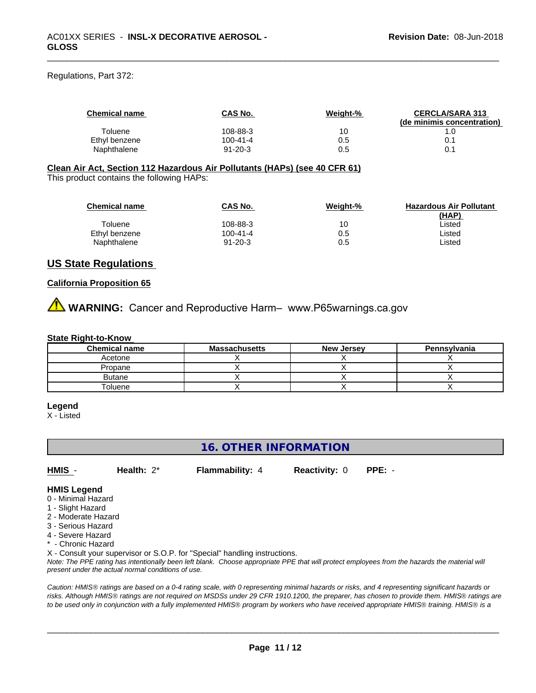Regulations, Part 372:

| <b>Chemical name</b> | <b>CAS No.</b> | Weight-% | <b>CERCLA/SARA 313</b><br>(de minimis concentration) |
|----------------------|----------------|----------|------------------------------------------------------|
| Toluene              | 108-88-3       | 10       |                                                      |
| Ethyl benzene        | 100-41-4       | 0.5      | 0.1                                                  |
| Naphthalene          | $91 - 20 - 3$  | 0.5      | 0.                                                   |

# **Clean Air Act,Section 112 Hazardous Air Pollutants (HAPs) (see 40 CFR 61)**

This product contains the following HAPs:

| <b>Chemical name</b> | <b>CAS No.</b> | Weight-% | <b>Hazardous Air Pollutant</b> |
|----------------------|----------------|----------|--------------------------------|
|                      |                |          | (HAP)                          |
| Toluene              | 108-88-3       | 10       | ∟isted                         |
| Ethyl benzene        | 100-41-4       | 0.5      | ∟isted                         |
| Naphthalene          | $91 - 20 - 3$  | 0.5      | ∟isted                         |

#### **US State Regulations**

#### **California Proposition 65**

**AVIMARNING:** Cancer and Reproductive Harm– www.P65warnings.ca.gov

#### **State Right-to-Know**

| <b>Chemical name</b> | <b>Massachusetts</b> | <b>New Jersey</b> | Pennsylvania |
|----------------------|----------------------|-------------------|--------------|
| Acetone              |                      |                   |              |
| Propane              |                      |                   |              |
| <b>Butane</b>        |                      |                   |              |
| <sup>-</sup> oluene  |                      |                   |              |

#### **Legend**

X - Listed

### **16. OTHER INFORMATION**

**HMIS** - **Health:** 2\* **Flammability:** 4 **Reactivity:** 0 **PPE:** -

 $\overline{\phantom{a}}$  ,  $\overline{\phantom{a}}$  ,  $\overline{\phantom{a}}$  ,  $\overline{\phantom{a}}$  ,  $\overline{\phantom{a}}$  ,  $\overline{\phantom{a}}$  ,  $\overline{\phantom{a}}$  ,  $\overline{\phantom{a}}$  ,  $\overline{\phantom{a}}$  ,  $\overline{\phantom{a}}$  ,  $\overline{\phantom{a}}$  ,  $\overline{\phantom{a}}$  ,  $\overline{\phantom{a}}$  ,  $\overline{\phantom{a}}$  ,  $\overline{\phantom{a}}$  ,  $\overline{\phantom{a}}$ 

**HMIS Legend**

- 0 Minimal Hazard
- 1 Slight Hazard
- 2 Moderate Hazard
- 3 Serious Hazard
- 4 Severe Hazard
- <sup>\*</sup> Chronic Hazard

X - Consult your supervisor or S.O.P. for "Special" handling instructions.

*Note: The PPE rating has intentionally been left blank. Choose appropriate PPE that will protect employees from the hazards the material will present under the actual normal conditions of use.*

*Caution: HMISÒ ratings are based on a 0-4 rating scale, with 0 representing minimal hazards or risks, and 4 representing significant hazards or risks. Although HMISÒ ratings are not required on MSDSs under 29 CFR 1910.1200, the preparer, has chosen to provide them. HMISÒ ratings are to be used only in conjunction with a fully implemented HMISÒ program by workers who have received appropriate HMISÒ training. HMISÒ is a*